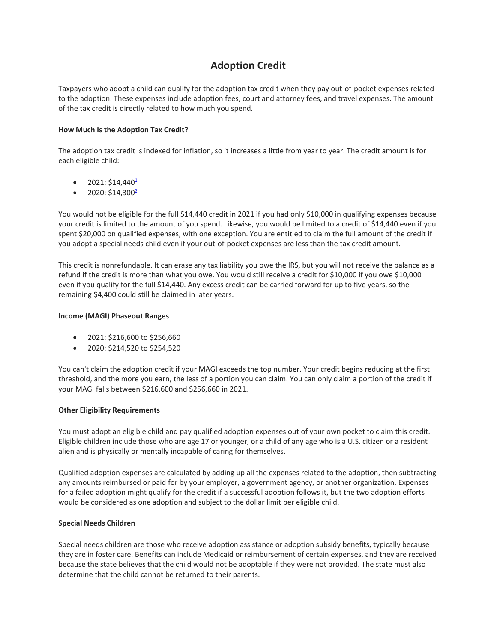# **Adoption Credit**

Taxpayers who adopt a child can qualify for the adoption tax credit when they pay out‐of‐pocket expenses related to the adoption. These expenses include adoption fees, court and attorney fees, and travel expenses. The amount of the tax credit is directly related to how much you spend.

# **How Much Is the Adoption Tax Credit?**

The adoption tax credit is indexed for inflation, so it increases a little from year to year. The credit amount is for each eligible child:

- $\bullet$  2021: \$14,440<sup>1</sup>
- $\bullet$  2020: \$14,300<sup>2</sup>

You would not be eligible for the full \$14,440 credit in 2021 if you had only \$10,000 in qualifying expenses because your credit is limited to the amount of you spend. Likewise, you would be limited to a credit of \$14,440 even if you spent \$20,000 on qualified expenses, with one exception. You are entitled to claim the full amount of the credit if you adopt a special needs child even if your out‐of‐pocket expenses are less than the tax credit amount.

This credit is nonrefundable. It can erase any tax liability you owe the IRS, but you will not receive the balance as a refund if the credit is more than what you owe. You would still receive a credit for \$10,000 if you owe \$10,000 even if you qualify for the full \$14,440. Any excess credit can be carried forward for up to five years, so the remaining \$4,400 could still be claimed in later years.

### **Income (MAGI) Phaseout Ranges**

- 2021: \$216,600 to \$256,660
- 2020: \$214,520 to \$254,520

You can't claim the adoption credit if your MAGI exceeds the top number. Your credit begins reducing at the first threshold, and the more you earn, the less of a portion you can claim. You can only claim a portion of the credit if your MAGI falls between \$216,600 and \$256,660 in 2021.

### **Other Eligibility Requirements**

You must adopt an eligible child and pay qualified adoption expenses out of your own pocket to claim this credit. Eligible children include those who are age 17 or younger, or a child of any age who is a U.S. citizen or a resident alien and is physically or mentally incapable of caring for themselves.

Qualified adoption expenses are calculated by adding up all the expenses related to the adoption, then subtracting any amounts reimbursed or paid for by your employer, a government agency, or another organization. Expenses for a failed adoption might qualify for the credit if a successful adoption follows it, but the two adoption efforts would be considered as one adoption and subject to the dollar limit per eligible child.

### **Special Needs Children**

Special needs children are those who receive adoption assistance or adoption subsidy benefits, typically because they are in foster care. Benefits can include Medicaid or reimbursement of certain expenses, and they are received because the state believes that the child would not be adoptable if they were not provided. The state must also determine that the child cannot be returned to their parents.